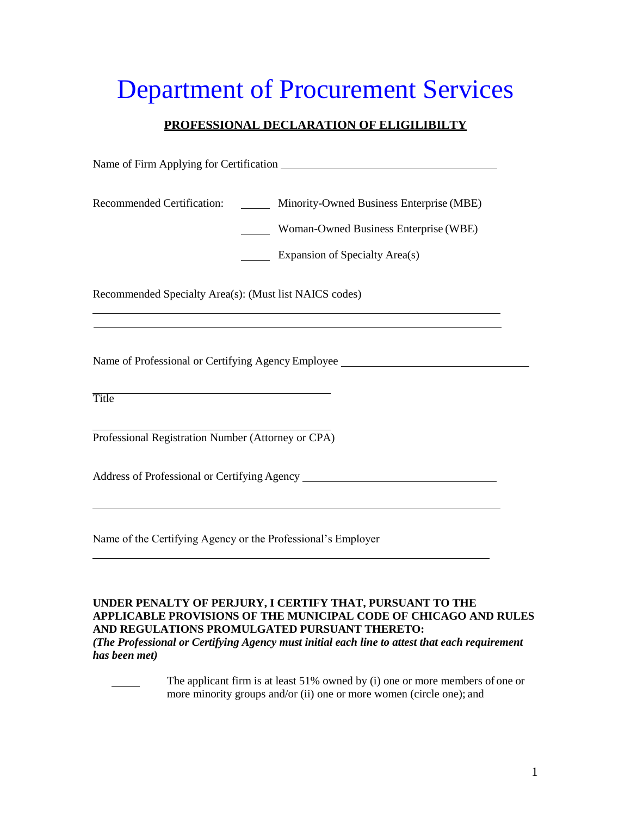## Department of Procurement Services

## **PROFESSIONAL DECLARATION OF ELIGILIBILTY**

Name of Firm Applying for Certification \_\_\_\_\_\_\_\_\_

Recommended Certification: Minority-Owned Business Enterprise (MBE) **Woman-Owned Business Enterprise (WBE) Expansion of Specialty Area(s)** Recommended Specialty Area(s): (Must list NAICS codes) Name of Professional or Certifying Agency Employee Title Professional Registration Number (Attorney or CPA) Address of Professional or Certifying Agency Name of the Certifying Agency or the Professional's Employer

## **UNDER PENALTY OF PERJURY, I CERTIFY THAT, PURSUANT TO THE APPLICABLE PROVISIONS OF THE MUNICIPAL CODE OF CHICAGO AND RULES AND REGULATIONS PROMULGATED PURSUANT THERETO:**

*(The Professional or Certifying Agency must initial each line to attest that each requirement has been met)*

> The applicant firm is at least 51% owned by (i) one or more members of one or more minority groups and/or (ii) one or more women (circle one); and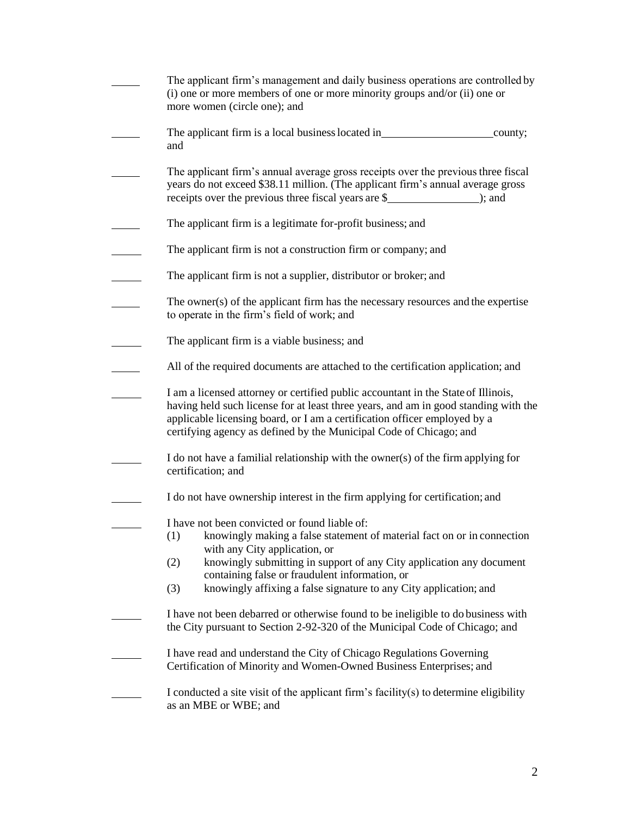| The applicant firm's management and daily business operations are controlled by<br>(i) one or more members of one or more minority groups and/or (ii) one or<br>more women (circle one); and                                                                                                                                |
|-----------------------------------------------------------------------------------------------------------------------------------------------------------------------------------------------------------------------------------------------------------------------------------------------------------------------------|
| The applicant firm is a local business located in<br>county;<br>and                                                                                                                                                                                                                                                         |
| The applicant firm's annual average gross receipts over the previous three fiscal<br>years do not exceed \$38.11 million. (The applicant firm's annual average gross<br>receipts over the previous three fiscal years are \$<br>$);$ and                                                                                    |
| The applicant firm is a legitimate for-profit business; and                                                                                                                                                                                                                                                                 |
| The applicant firm is not a construction firm or company; and                                                                                                                                                                                                                                                               |
| The applicant firm is not a supplier, distributor or broker; and                                                                                                                                                                                                                                                            |
| The owner(s) of the applicant firm has the necessary resources and the expertise<br>to operate in the firm's field of work; and                                                                                                                                                                                             |
| The applicant firm is a viable business; and                                                                                                                                                                                                                                                                                |
| All of the required documents are attached to the certification application; and                                                                                                                                                                                                                                            |
| I am a licensed attorney or certified public accountant in the State of Illinois,<br>having held such license for at least three years, and am in good standing with the<br>applicable licensing board, or I am a certification officer employed by a<br>certifying agency as defined by the Municipal Code of Chicago; and |
| I do not have a familial relationship with the owner(s) of the firm applying for<br>certification; and                                                                                                                                                                                                                      |
| I do not have ownership interest in the firm applying for certification; and                                                                                                                                                                                                                                                |
| I have not been convicted or found liable of:<br>(1) knowingly making a false statement of material fact on or in connection<br>with any City application, or                                                                                                                                                               |
| knowingly submitting in support of any City application any document<br>(2)<br>containing false or fraudulent information, or                                                                                                                                                                                               |
| knowingly affixing a false signature to any City application; and<br>(3)                                                                                                                                                                                                                                                    |
| I have not been debarred or otherwise found to be ineligible to do business with<br>the City pursuant to Section 2-92-320 of the Municipal Code of Chicago; and                                                                                                                                                             |
| I have read and understand the City of Chicago Regulations Governing<br>Certification of Minority and Women-Owned Business Enterprises; and                                                                                                                                                                                 |
| I conducted a site visit of the applicant firm's facility(s) to determine eligibility<br>as an MBE or WBE; and                                                                                                                                                                                                              |